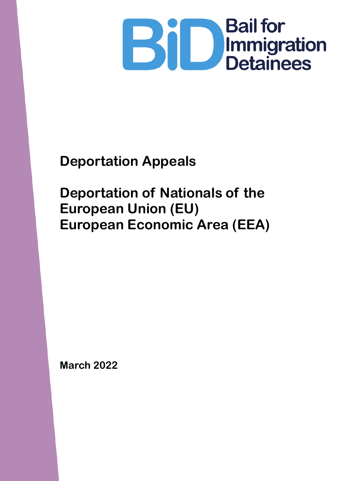

**Deportation Appeals**

**Deportation of Nationals of the European Union (EU) European Economic Area (EEA)**

**March 2022**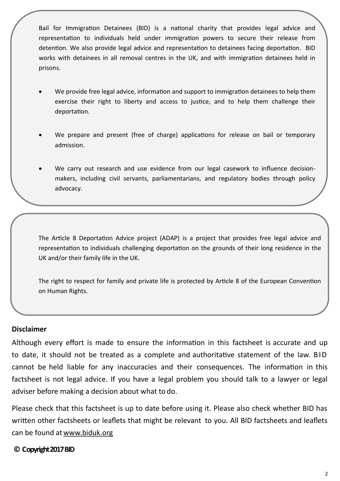Bail for Immigration Detainees (BID) is a national charity that provides legal advice and representation to individuals held under immigration powers to secure their release from detention. We also provide legal advice and representation to detainees facing deportation. BID works with detainees in all removal centres in the UK, and with immigration detainees held in prisons.

- We provide free legal advice, information and support to immigration detainees to help them exercise their right to liberty and access to justice, and to help them challenge their deportation.
- We prepare and present (free of charge) applications for release on bail or temporary admission.
- We carry out research and use evidence from our legal casework to influence decisionmakers, including civil servants, parliamentarians, and regulatory bodies through policy advocacy.

The Article 8 Deportation Advice project (ADAP) is a project that provides free legal advice and representation to individuals challenging deportation on the grounds of their long residence in the UK and/or their family life in the UK.

The right to respect for family and private life is protected by Article 8 of the European Convention on Human Rights.

#### **Disclaimer**

Although every effort is made to ensure the information in this factsheet is accurate and up to date, it should not be treated as a complete and authoritative statement of the law. B ID cannot be held liable for any inaccuracies and their consequences. The information in this factsheet is not legal advice. If you have a legal problem you should talk to a lawyer or legal adviser before making a decision about what to do.

Please check that this factsheet is up to date before using it. Please also check whether BID has written other factsheets or leaflets that might be relevant to you. All BID factsheets and leaflets can be found at [www.biduk.org](http://www.biduk.org/)

#### **© Copyright 2017 BID**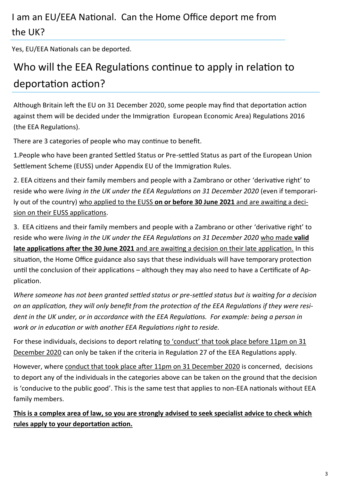# I am an EU/EEA National. Can the Home Office deport me from the UK?

Yes, EU/EEA Nationals can be deported.

# Who will the EEA Regulations continue to apply in relation to deportation action?

Although Britain left the EU on 31 December 2020, some people may find that deportation action against them will be decided under the Immigration European Economic Area) Regulations 2016 (the EEA Regulations).

There are 3 categories of people who may continue to benefit.

1.People who have been granted Settled Status or Pre-settled Status as part of the European Union Settlement Scheme (EUSS) under Appendix EU of the Immigration Rules.

2. EEA citizens and their family members and people with a Zambrano or other 'derivative right' to reside who were *living in the UK under the EEA Regulations on 31 December 2020* (even if temporarily out of the country) who applied to the EUSS **on or before 30 June 2021** and are awaiting a decision on their EUSS applications.

3. EEA citizens and their family members and people with a Zambrano or other 'derivative right' to reside who were *living in the UK under the EEA Regulations on 31 December 2020* who made **valid late applications after the 30 June 2021** and are awaiting a decision on their late application. In this situation, the Home Office guidance also says that these individuals will have temporary protection until the conclusion of their applications – although they may also need to have a Certificate of Application.

*Where someone has not been granted settled status or pre-settled status but is waiting for a decision on an application, they will only benefit from the protection of the EEA Regulations if they were resi*dent in the UK under, or in accordance with the EEA Regulations. For example: being a person in *work or in education or with another EEA Regulations right to reside.* 

For these individuals, decisions to deport relating to 'conduct' that took place before 11pm on 31 December 2020 can only be taken if the criteria in Regulation 27 of the EEA Regulations apply.

However, where conduct that took place after 11pm on 31 December 2020 is concerned, decisions to deport any of the individuals in the categories above can be taken on the ground that the decision is 'conducive to the public good'. This is the same test that applies to non-EEA nationals without EEA family members.

**This is a complex area of law, so you are strongly advised to seek specialist advice to check which rules apply to your deportation action.**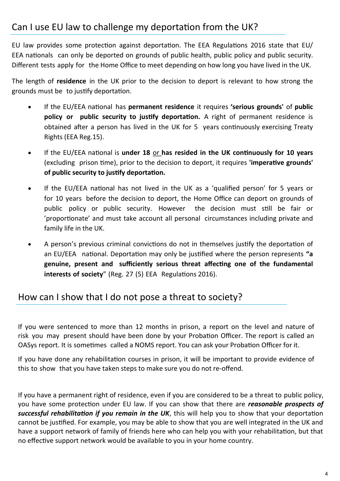### Can I use EU law to challenge my deportation from the UK?

EU law provides some protection against deportation. The EEA Regulations 2016 state that EU/ EEA nationals can only be deported on grounds of public health, public policy and public security. Different tests apply for the Home Office to meet depending on how long you have lived in the UK.

The length of **residence** in the UK prior to the decision to deport is relevant to how strong the grounds must be to justify deportation.

- If the EU/EEA national has **permanent residence** it requires **'serious grounds'** of **public policy or public security to justify deportation.** A right of permanent residence is obtained after a person has lived in the UK for 5 years continuously exercising Treaty Rights (EEA Reg.15).
- If the EU/EEA national is **under 18** or **has resided in the UK continuously for 10 years** (excluding prison time), prior to the decision to deport, it requires **'imperative grounds' of public security to justify deportation.**
- If the EU/EEA national has not lived in the UK as a 'qualified person' for 5 years or for 10 years before the decision to deport, the Home Office can deport on grounds of public policy or public security. However the decision must still be fair or 'proportionate' and must take account all personal circumstances including private and family life in the UK.
- A person's previous criminal convictions do not in themselves justify the deportation of an EU/EEA national. Deportation may only be justified where the person represents **"a genuine, present and sufficiently serious threat affecting one of the fundamental interests of society**" (Reg. 27 (5) EEA Regulations 2016).

### How can I show that I do not pose a threat to society?

If you were sentenced to more than 12 months in prison, a report on the level and nature of risk you may present should have been done by your Probation Officer. The report is called an OASys report. It is sometimes called a NOMS report. You can ask your Probation Officer for it.

If you have done any rehabilitation courses in prison, it will be important to provide evidence of this to show that you have taken steps to make sure you do not re-offend.

If you have a permanent right of residence, even if you are considered to be a threat to public policy, you have some protection under EU law. If you can show that there are *reasonable prospects of successful rehabilitation if you remain in the UK*, this will help you to show that your deportation cannot be justified. For example, you may be able to show that you are well integrated in the UK and have a support network of family of friends here who can help you with your rehabilitation, but that no effective support network would be available to you in your home country.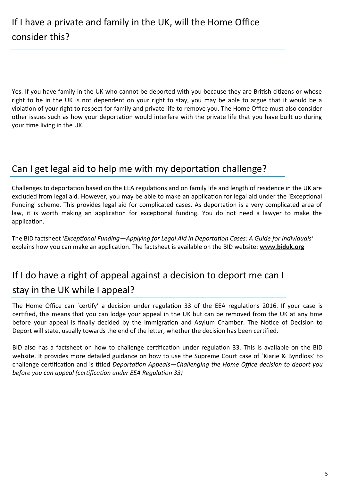Yes. If you have family in the UK who cannot be deported with you because they are British citizens or whose right to be in the UK is not dependent on your right to stay, you may be able to argue that it would be a violation of your right to respect for family and private life to remove you. The Home Office must also consider other issues such as how your deportation would interfere with the private life that you have built up during your time living in the UK.

### Can I get legal aid to help me with my deportation challenge?

Challenges to deportation based on the EEA regulations and on family life and length of residence in the UK are excluded from legal aid. However, you may be able to make an application for legal aid under the 'Exceptional Funding' scheme. This provides legal aid for complicated cases. As deportation is a very complicated area of law, it is worth making an application for exceptional funding. You do not need a lawyer to make the application.

The BID factsheet *'Exceptional Funding—Applying for Legal Aid in Deportation Cases: A Guide for Individuals'* explains how you can make an application. The factsheet is available on the BID website: **www.biduk.org** 

# If I do have a right of appeal against a decision to deport me can I stay in the UK while I appeal?

The Home Office can `certify' a decision under regulation 33 of the EEA regulations 2016. If your case is certified, this means that you can lodge your appeal in the UK but can be removed from the UK at any time before your appeal is finally decided by the Immigration and Asylum Chamber. The Notice of Decision to Deport will state, usually towards the end of the letter, whether the decision has been certified.

BID also has a factsheet on how to challenge certification under regulation 33. This is available on the BID website. It provides more detailed guidance on how to use the Supreme Court case of `Kiarie & Byndloss' to challenge certification and is titled *Deportation Appeals—Challenging the Home Office decision to deport you before you can appeal (certification under EEA Regulation 33)*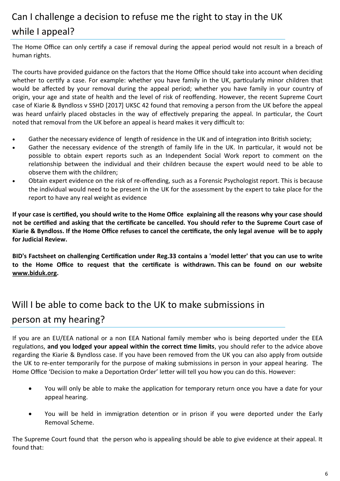# Can I challenge a decision to refuse me the right to stay in the UK while I appeal?

The Home Office can only certify a case if removal during the appeal period would not result in a breach of human rights.

The courts have provided guidance on the factors that the Home Office should take into account when deciding whether to certify a case. For example: whether you have family in the UK, particularly minor children that would be affected by your removal during the appeal period; whether you have family in your country of origin, your age and state of health and the level of risk of reoffending. However, the recent Supreme Court case of Kiarie & Byndloss v SSHD [2017] UKSC 42 found that removing a person from the UK before the appeal was heard unfairly placed obstacles in the way of effectively preparing the appeal. In particular, the Court noted that removal from the UK before an appeal is heard makes it very difficult to:

- Gather the necessary evidence of length of residence in the UK and of integration into British society;
- Gather the necessary evidence of the strength of family life in the UK. In particular, it would not be possible to obtain expert reports such as an Independent Social Work report to comment on the relationship between the individual and their children because the expert would need to be able to observe them with the children;
- Obtain expert evidence on the risk of re-offending, such as a Forensic Psychologist report. This is because the individual would need to be present in the UK for the assessment by the expert to take place for the report to have any real weight as evidence

**If your case is certified, you should write to the Home Office explaining all the reasons why your case should not be certified and asking that the certificate be cancelled. You should refer to the Supreme Court case of Kiarie & Byndloss. If the Home Office refuses to cancel the certificate, the only legal avenue will be to apply for Judicial Review.**

**BID's Factsheet on challenging Certification under Reg.33 contains a 'model letter' that you can use to write to the Home Office to request that the certificate is withdrawn. This can be found on our website www.biduk.org.**

## Will I be able to come back to the UK to make submissions in person at my hearing?

If you are an EU/EEA national or a non EEA National family member who is being deported under the EEA regulations, **and you lodged your appeal within the correct time limits**, you should refer to the advice above regarding the Kiarie & Byndloss case. If you have been removed from the UK you can also apply from outside the UK to re-enter temporarily for the purpose of making submissions in person in your appeal hearing. The Home Office 'Decision to make a Deportation Order' letter will tell you how you can do this. However:

- You will only be able to make the application for temporary return once you have a date for your appeal hearing.
- You will be held in immigration detention or in prison if you were deported under the Early Removal Scheme.

The Supreme Court found that the person who is appealing should be able to give evidence at their appeal. It found that: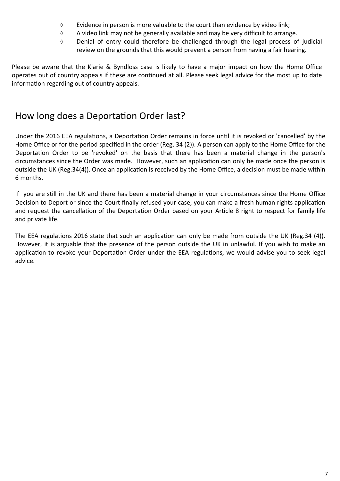- $\Diamond$  Evidence in person is more valuable to the court than evidence by video link;
- $\Diamond$  A video link may not be generally available and may be very difficult to arrange.
- Denial of entry could therefore be challenged through the legal process of judicial review on the grounds that this would prevent a person from having a fair hearing.

Please be aware that the Kiarie & Byndloss case is likely to have a major impact on how the Home Office operates out of country appeals if these are continued at all. Please seek legal advice for the most up to date information regarding out of country appeals.

### How long does a Deportation Order last?

Under the 2016 EEA regulations, a Deportation Order remains in force until it is revoked or 'cancelled' by the Home Office or for the period specified in the order (Reg. 34 (2)). A person can apply to the Home Office for the Deportation Order to be 'revoked' on the basis that there has been a material change in the person's circumstances since the Order was made. However, such an application can only be made once the person is outside the UK (Reg.34(4)). Once an application is received by the Home Office, a decision must be made within 6 months.

If you are still in the UK and there has been a material change in your circumstances since the Home Office Decision to Deport or since the Court finally refused your case, you can make a fresh human rights application and request the cancellation of the Deportation Order based on your Article 8 right to respect for family life and private life.

The EEA regulations 2016 state that such an application can only be made from outside the UK (Reg.34 (4)). However, it is arguable that the presence of the person outside the UK in unlawful. If you wish to make an application to revoke your Deportation Order under the EEA regulations, we would advise you to seek legal advice.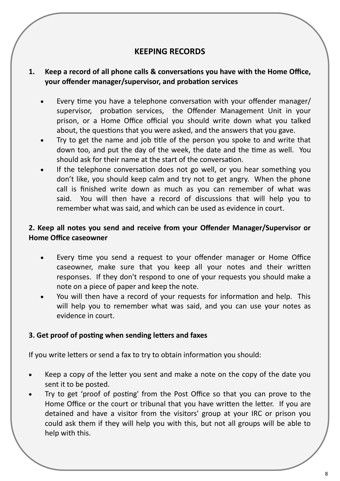#### **KEEPING RECORDS**

#### **1. Keep a record of all phone calls & conversations you have with the Home Office, your offender manager/supervisor, and probation services**

- Every time you have a telephone conversation with your offender manager/ supervisor, probation services, the Offender Management Unit in your prison, or a Home Office official you should write down what you talked about, the questions that you were asked, and the answers that you gave.
- Try to get the name and job title of the person you spoke to and write that down too, and put the day of the week, the date and the time as well. You should ask for their name at the start of the conversation.
- If the telephone conversation does not go well, or you hear something you don't like, you should keep calm and try not to get angry. When the phone call is finished write down as much as you can remember of what was said. You will then have a record of discussions that will help you to remember what was said, and which can be used as evidence in court.

#### **2. Keep all notes you send and receive from your Offender Manager/Supervisor or Home Office caseowner**

- Every time you send a request to your offender manager or Home Office caseowner, make sure that you keep all your notes and their written responses. If they don't respond to one of your requests you should make a note on a piece of paper and keep the note.
- You will then have a record of your requests for information and help. This will help you to remember what was said, and you can use your notes as evidence in court.

#### **3. Get proof of posting when sending letters and faxes**

If you write letters or send a fax to try to obtain information you should:

- Keep a copy of the letter you sent and make a note on the copy of the date you sent it to be posted.
- Try to get 'proof of posting' from the Post Office so that you can prove to the Home Office or the court or tribunal that you have written the letter. If you are detained and have a visitor from the visitors' group at your IRC or prison you could ask them if they will help you with this, but not all groups will be able to help with this.